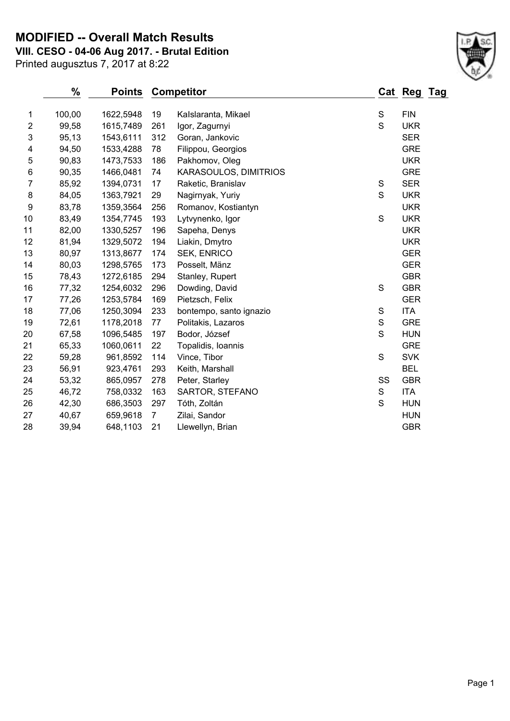### **MODIFIED -- Overall Match Results**

**VIII. CESO - 04-06 Aug 2017. - Brutal Edition**

Printed augusztus 7, 2017 at 8:22

# **% Points Competitor Cat Reg Tag** 1 100,00 1622,5948 19 Kalslaranta, Mikael S FIN 99,58 1615,7489 261 Igor, Zagurnyi S UKR 95,13 1543,6111 312 Goran, Jankovic SER

| 4  | 94,50 | 1533,4288 | 78  | Filippou, Georgios      |    | <b>GRE</b> |
|----|-------|-----------|-----|-------------------------|----|------------|
| 5  | 90,83 | 1473,7533 | 186 | Pakhomov, Oleg          |    | <b>UKR</b> |
| 6  | 90,35 | 1466,0481 | 74  | KARASOULOS, DIMITRIOS   |    | <b>GRE</b> |
| 7  | 85,92 | 1394,0731 | 17  | Raketic, Branislav      | S  | <b>SER</b> |
| 8  | 84,05 | 1363,7921 | 29  | Nagirnyak, Yuriy        | S  | <b>UKR</b> |
| 9  | 83,78 | 1359,3564 | 256 | Romanov, Kostiantyn     |    | <b>UKR</b> |
| 10 | 83,49 | 1354,7745 | 193 | Lytvynenko, Igor        | S  | <b>UKR</b> |
| 11 | 82,00 | 1330,5257 | 196 | Sapeha, Denys           |    | <b>UKR</b> |
| 12 | 81,94 | 1329,5072 | 194 | Liakin, Dmytro          |    | <b>UKR</b> |
| 13 | 80,97 | 1313,8677 | 174 | <b>SEK, ENRICO</b>      |    | <b>GER</b> |
| 14 | 80,03 | 1298,5765 | 173 | Posselt, Mänz           |    | <b>GER</b> |
| 15 | 78,43 | 1272,6185 | 294 | Stanley, Rupert         |    | <b>GBR</b> |
| 16 | 77,32 | 1254,6032 | 296 | Dowding, David          | S  | <b>GBR</b> |
| 17 | 77,26 | 1253,5784 | 169 | Pietzsch, Felix         |    | <b>GER</b> |
| 18 | 77,06 | 1250,3094 | 233 | bontempo, santo ignazio | S  | ITA        |
| 19 | 72,61 | 1178,2018 | 77  | Politakis, Lazaros      | S  | <b>GRE</b> |
| 20 | 67,58 | 1096,5485 | 197 | Bodor, József           | S  | <b>HUN</b> |
| 21 | 65,33 | 1060,0611 | 22  | Topalidis, Ioannis      |    | <b>GRE</b> |
| 22 | 59,28 | 961,8592  | 114 | Vince, Tibor            | S  | <b>SVK</b> |
| 23 | 56,91 | 923,4761  | 293 | Keith, Marshall         |    | <b>BEL</b> |
| 24 | 53,32 | 865,0957  | 278 | Peter, Starley          | SS | <b>GBR</b> |
| 25 | 46,72 | 758,0332  | 163 | SARTOR, STEFANO         | S  | ITA        |
| 26 | 42,30 | 686,3503  | 297 | Tóth, Zoltán            | S  | <b>HUN</b> |
| 27 | 40,67 | 659,9618  | 7   | Zilai, Sandor           |    | <b>HUN</b> |
| 28 | 39,94 | 648,1103  | 21  | Llewellyn, Brian        |    | <b>GBR</b> |

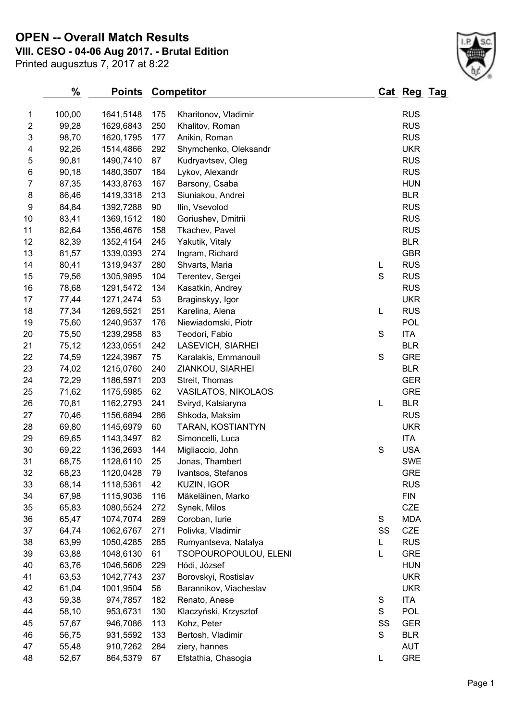**OPEN -- Overall Match Results**

**VIII. CESO - 04-06 Aug 2017. - Brutal Edition**

| Printed augusztus 7, 2017 at 8:22 |  |  |  |
|-----------------------------------|--|--|--|
|-----------------------------------|--|--|--|

|                         | %      | <b>Points</b> |     | <b>Competitor</b>     |               | Cat Reg Tag |  |
|-------------------------|--------|---------------|-----|-----------------------|---------------|-------------|--|
| 1                       | 100,00 | 1641,5148     | 175 | Kharitonov, Vladimir  |               | <b>RUS</b>  |  |
| $\overline{\mathbf{c}}$ | 99,28  | 1629,6843     | 250 | Khalitov, Roman       |               | <b>RUS</b>  |  |
| 3                       | 98,70  | 1620,1795     | 177 | Anikin, Roman         |               | <b>RUS</b>  |  |
| 4                       | 92,26  | 1514,4866     | 292 | Shymchenko, Oleksandr |               | <b>UKR</b>  |  |
| 5                       | 90,81  | 1490,7410     | 87  | Kudryavtsev, Oleg     |               | <b>RUS</b>  |  |
| 6                       | 90,18  | 1480,3507     | 184 | Lykov, Alexandr       |               | <b>RUS</b>  |  |
| 7                       | 87,35  | 1433,8763     | 167 | Barsony, Csaba        |               | <b>HUN</b>  |  |
| 8                       | 86,46  | 1419,3318     | 213 | Siuniakou, Andrei     |               | <b>BLR</b>  |  |
| 9                       | 84,84  | 1392,7288     | 90  | Ilin, Vsevolod        |               | <b>RUS</b>  |  |
| 10                      | 83,41  | 1369,1512     | 180 | Goriushev, Dmitrii    |               | <b>RUS</b>  |  |
| 11                      | 82,64  | 1356,4676     | 158 | Tkachev, Pavel        |               | <b>RUS</b>  |  |
| 12                      | 82,39  | 1352,4154     | 245 | Yakutik, Vitaly       |               | <b>BLR</b>  |  |
| 13                      | 81,57  | 1339,0393     | 274 | Ingram, Richard       |               | <b>GBR</b>  |  |
| 14                      | 80,41  | 1319,9437     | 280 | Shvarts, Maria        | L             | <b>RUS</b>  |  |
| 15                      | 79,56  | 1305,9895     | 104 | Terentev, Sergei      | $\mathbf S$   | <b>RUS</b>  |  |
| 16                      | 78,68  | 1291,5472     | 134 | Kasatkin, Andrey      |               | <b>RUS</b>  |  |
| 17                      | 77,44  | 1271,2474     | 53  | Braginskyy, Igor      |               | <b>UKR</b>  |  |
| 18                      | 77,34  | 1269,5521     | 251 | Karelina, Alena       | L             | <b>RUS</b>  |  |
| 19                      | 75,60  | 1240,9537     | 176 | Niewiadomski, Piotr   |               | <b>POL</b>  |  |
| 20                      | 75,50  | 1239,2958     | 83  | Teodori, Fabio        | $\mathsf S$   | <b>ITA</b>  |  |
| 21                      | 75,12  | 1233,0551     | 242 | LASEVICH, SIARHEI     |               | <b>BLR</b>  |  |
| 22                      | 74,59  | 1224,3967     | 75  | Karalakis, Emmanouil  | $\mathsf S$   | <b>GRE</b>  |  |
| 23                      | 74,02  | 1215,0760     | 240 | ZIANKOU, SIARHEI      |               | <b>BLR</b>  |  |
| 24                      | 72,29  | 1186,5971     | 203 | Streit, Thomas        |               | <b>GER</b>  |  |
| 25                      | 71,62  | 1175,5985     | 62  | VASILATOS, NIKOLAOS   |               | <b>GRE</b>  |  |
| 26                      | 70,81  | 1162,2793     | 241 | Sviryd, Katsiaryna    | L             | <b>BLR</b>  |  |
| 27                      | 70,46  | 1156,6894     | 286 | Shkoda, Maksim        |               | <b>RUS</b>  |  |
| 28                      | 69,80  | 1145,6979     | 60  | TARAN, KOSTIANTYN     |               | <b>UKR</b>  |  |
| 29                      | 69,65  | 1143,3497     | 82  | Simoncelli, Luca      |               | <b>ITA</b>  |  |
| 30                      | 69,22  | 1136,2693     | 144 | Migliaccio, John      | S             | <b>USA</b>  |  |
| 31                      | 68,75  | 1128,6110     | 25  | Jonas, Thambert       |               | <b>SWE</b>  |  |
| 32                      | 68,23  | 1120,0428     | 79  | Ivantsos, Stefanos    |               | <b>GRE</b>  |  |
| 33                      | 68,14  | 1118,5361     | 42  | KUZIN, IGOR           |               | <b>RUS</b>  |  |
| 34                      | 67,98  | 1115,9036     | 116 | Mäkeläinen, Marko     |               | <b>FIN</b>  |  |
| 35                      | 65,83  | 1080,5524     | 272 | Synek, Milos          |               | CZE         |  |
| 36                      | 65,47  | 1074,7074     | 269 | Coroban, lurie        | ${\mathsf S}$ | <b>MDA</b>  |  |
| 37                      | 64,74  | 1062,6767     | 271 | Polivka, Vladimir     | SS            | <b>CZE</b>  |  |

 63,99 1050,4285 285 Rumyantseva, Natalya L RUS 63,88 1048,6130 61 TSOPOUROPOULOU, ELENI L GRE 40 63,76 1046,5606 229 Hódi, József Hundam HUN 63,53 1042,7743 237 Borovskyi, Rostislav UKR 61,04 1001,9504 56 Barannikov, Viacheslav UKR 59,38 974,7857 182 Renato, Anese S ITA 58,10 953,6731 130 Klaczyński, Krzysztof S POL 57,67 946,7086 113 Kohz, Peter SS GER 46 56,75 931,5592 133 Bertosh, Vladimir S BLR 55,48 910,7262 284 ziery, hannes AUT 52,67 864,5379 67 Efstathia, Chasogia L GRE

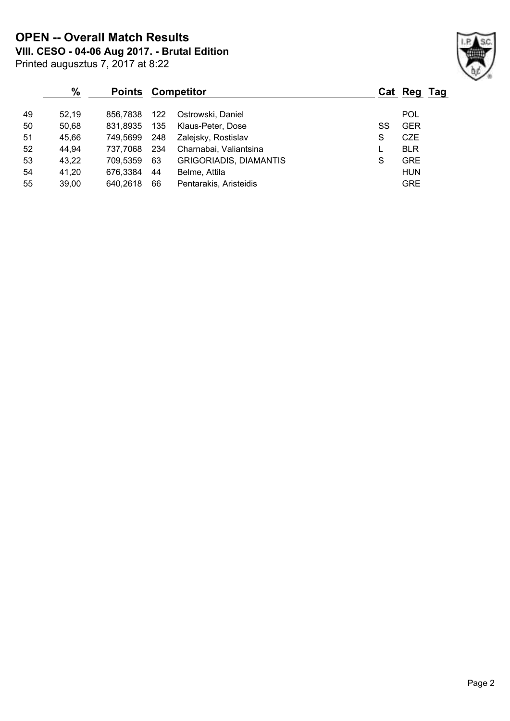**VIII. CESO - 04-06 Aug 2017. - Brutal Edition OPEN -- Overall Match Results**

|    | $\%$  | <b>Points Competitor</b> |     |                               |    | Cat Reg Tag |  |
|----|-------|--------------------------|-----|-------------------------------|----|-------------|--|
| 49 | 52.19 | 856.7838                 | 122 | Ostrowski, Daniel             |    | <b>POL</b>  |  |
| 50 | 50,68 | 831.8935                 | 135 | Klaus-Peter, Dose             | SS | <b>GER</b>  |  |
| 51 | 45,66 | 749.5699                 | 248 | Zalejsky, Rostislav           | S  | <b>CZE</b>  |  |
| 52 | 44,94 | 737.7068                 | 234 | Charnabai, Valiantsina        |    | <b>BLR</b>  |  |
| 53 | 43,22 | 709.5359                 | 63  | <b>GRIGORIADIS, DIAMANTIS</b> | S  | <b>GRE</b>  |  |
| 54 | 41,20 | 676,3384                 | 44  | Belme, Attila                 |    | <b>HUN</b>  |  |
| 55 | 39,00 | 640,2618                 | 66  | Pentarakis, Aristeidis        |    | <b>GRE</b>  |  |

Printed augusztus 7, 2017 at 8:22

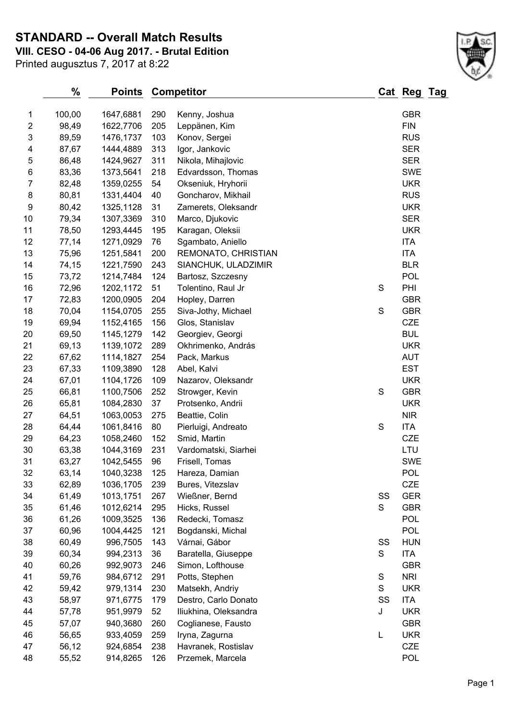**STANDARD -- Overall Match Results**

**VIII. CESO - 04-06 Aug 2017. - Brutal Edition**

Printed augusztus 7, 2017 at 8:22

| 1                       | 100,00 | 1647,6881              | 290 | Kenny, Joshua                   |    | <b>GBR</b> |
|-------------------------|--------|------------------------|-----|---------------------------------|----|------------|
| $\overline{\mathbf{c}}$ | 98,49  | 1622,7706              | 205 | Leppänen, Kim                   |    | <b>FIN</b> |
| 3                       | 89,59  | 1476,1737              | 103 | Konov, Sergei                   |    | <b>RUS</b> |
| 4                       | 87,67  | 1444,4889              | 313 | Igor, Jankovic                  |    | <b>SER</b> |
| 5                       | 86,48  | 1424,9627              | 311 | Nikola, Mihajlovic              |    | <b>SER</b> |
| 6                       | 83,36  | 1373,5641              | 218 | Edvardsson, Thomas              |    | <b>SWE</b> |
| 7                       | 82,48  | 1359,0255              | 54  | Okseniuk, Hryhorii              |    | <b>UKR</b> |
| 8                       | 80,81  | 1331,4404              | 40  | Goncharov, Mikhail              |    | <b>RUS</b> |
| $\boldsymbol{9}$        | 80,42  | 1325,1128              | 31  | Zamerets, Oleksandr             |    | <b>UKR</b> |
| 10                      | 79,34  | 1307,3369              | 310 | Marco, Djukovic                 |    | <b>SER</b> |
| 11                      | 78,50  | 1293,4445              | 195 | Karagan, Oleksii                |    | <b>UKR</b> |
| 12                      | 77,14  | 1271,0929              | 76  | Sgambato, Aniello               |    | <b>ITA</b> |
| 13                      | 75,96  | 1251,5841              | 200 | REMONATO, CHRISTIAN             |    | <b>ITA</b> |
| 14                      | 74,15  | 1221,7590              | 243 | SIANCHUK, ULADZIMIR             |    | <b>BLR</b> |
| 15                      | 73,72  | 1214,7484              | 124 | Bartosz, Szczesny               |    | POL        |
| 16                      | 72,96  | 1202,1172              | 51  | Tolentino, Raul Jr              | S  | PHI        |
| 17                      | 72,83  | 1200,0905              | 204 | Hopley, Darren                  |    | <b>GBR</b> |
| 18                      | 70,04  | 1154,0705              | 255 | Siva-Jothy, Michael             | S  | <b>GBR</b> |
| 19                      | 69,94  | 1152,4165              | 156 | Glos, Stanislav                 |    | CZE        |
| 20                      | 69,50  | 1145,1279              | 142 | Georgiev, Georgi                |    | <b>BUL</b> |
| 21                      | 69,13  | 1139,1072              | 289 | Okhrimenko, András              |    | <b>UKR</b> |
| 22                      | 67,62  | 1114,1827              | 254 | Pack, Markus                    |    | <b>AUT</b> |
| 23                      | 67,33  | 1109,3890              | 128 | Abel, Kalvi                     |    | <b>EST</b> |
| 24                      | 67,01  | 1104,1726              | 109 | Nazarov, Oleksandr              |    | <b>UKR</b> |
| 25                      | 66,81  | 1100,7506              | 252 | Strowger, Kevin                 | S  | <b>GBR</b> |
| 26                      | 65,81  | 1084,2830              | 37  | Protsenko, Andrii               |    | <b>UKR</b> |
| 27                      | 64,51  | 1063,0053              | 275 | Beattie, Colin                  |    | <b>NIR</b> |
| 28                      | 64,44  | 1061,8416              | 80  | Pierluigi, Andreato             | S  | <b>ITA</b> |
| 29                      | 64,23  | 1058,2460              | 152 | Smid, Martin                    |    | <b>CZE</b> |
| 30                      | 63,38  | 1044,3169              | 231 | Vardomatski, Siarhei            |    | LTU        |
| 31                      | 63,27  | 1042,5455              | 96  | Frisell, Tomas                  |    | <b>SWE</b> |
| 32                      | 63,14  | 1040,3238              | 125 | Hareza, Damian                  |    | <b>POL</b> |
| 33                      | 62,89  |                        | 239 | Bures, Vitezslav                |    | <b>CZE</b> |
| 34                      | 61,49  | 1036,1705<br>1013,1751 | 267 |                                 | SS | <b>GER</b> |
| 35                      |        |                        | 295 | Wießner, Bernd<br>Hicks, Russel | S  | <b>GBR</b> |
|                         | 61,46  | 1012,6214              | 136 | Redecki, Tomasz                 |    | POL        |
| 36                      | 61,26  | 1009,3525              |     |                                 |    |            |
| 37                      | 60,96  | 1004,4425              | 121 | Bogdanski, Michal               |    | POL        |
| 38                      | 60,49  | 996,7505               | 143 | Várnai, Gábor                   | SS | <b>HUN</b> |
| 39                      | 60,34  | 994,2313               | 36  | Baratella, Giuseppe             | S  | ITA        |
| 40                      | 60,26  | 992,9073               | 246 | Simon, Lofthouse                |    | <b>GBR</b> |
| 41                      | 59,76  | 984,6712               | 291 | Potts, Stephen                  | S  | <b>NRI</b> |
| 42                      | 59,42  | 979,1314               | 230 | Matsekh, Andriy                 | S  | <b>UKR</b> |
| 43                      | 58,97  | 971,6775               | 179 | Destro, Carlo Donato            | SS | ITA        |
| 44                      | 57,78  | 951,9979               | 52  | Iliukhina, Oleksandra           | J  | <b>UKR</b> |
| 45                      | 57,07  | 940,3680               | 260 | Coglianese, Fausto              |    | <b>GBR</b> |
| 46                      | 56,65  | 933,4059               | 259 | Iryna, Zagurna                  | L  | <b>UKR</b> |
| 47                      | 56,12  | 924,6854               | 238 | Havranek, Rostislav             |    | <b>CZE</b> |
| 48                      | 55,52  | 914,8265               | 126 | Przemek, Marcela                |    | <b>POL</b> |
|                         |        |                        |     |                                 |    |            |

**% Points Competitor Cat Reg Tag**

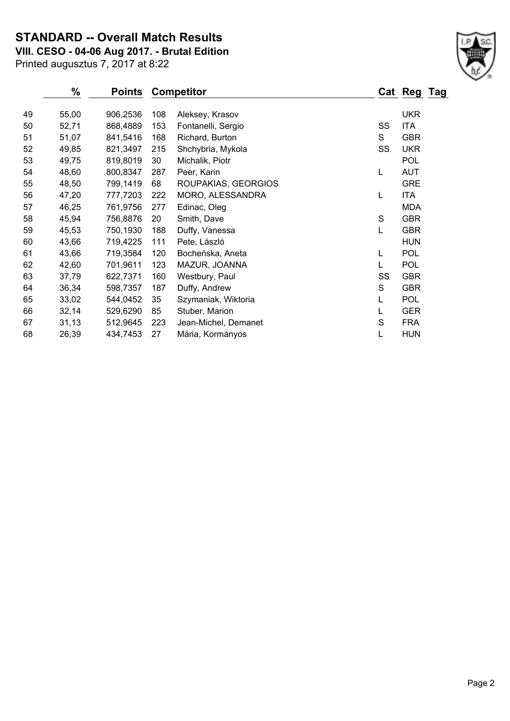# **STANDARD -- Overall Match Results**

**VIII. CESO - 04-06 Aug 2017. - Brutal Edition**

| Printed augusztus 7, 2017 at 8:22 |  |  |  |  |
|-----------------------------------|--|--|--|--|
|-----------------------------------|--|--|--|--|

|    | $\%$  | <b>Points</b> |     | <b>Competitor</b>    |    | Cat Reg Tag |  |
|----|-------|---------------|-----|----------------------|----|-------------|--|
| 49 | 55,00 | 906,2536      | 108 | Aleksey, Krasov      |    | <b>UKR</b>  |  |
| 50 | 52,71 | 868,4889      | 153 | Fontanelli, Sergio   | SS | <b>ITA</b>  |  |
| 51 | 51,07 | 841,5416      | 168 | Richard, Burton      | S  | <b>GBR</b>  |  |
| 52 | 49,85 | 821,3497      | 215 | Shchybria, Mykola    | SS | <b>UKR</b>  |  |
| 53 | 49,75 | 819,8019      | 30  | Michalik, Piotr      |    | <b>POL</b>  |  |
| 54 | 48,60 | 800,8347      | 287 | Peer, Karin          | L  | <b>AUT</b>  |  |
| 55 | 48,50 | 799,1419      | 68  | ROUPAKIAS, GEORGIOS  |    | <b>GRE</b>  |  |
| 56 | 47,20 | 777,7203      | 222 | MORO, ALESSANDRA     | L  | <b>ITA</b>  |  |
| 57 | 46,25 | 761,9756      | 277 | Edinac, Oleg         |    | <b>MDA</b>  |  |
| 58 | 45,94 | 756,8876      | 20  | Smith, Dave          | S  | <b>GBR</b>  |  |
| 59 | 45,53 | 750,1930      | 188 | Duffy, Vanessa       | L  | <b>GBR</b>  |  |
| 60 | 43,66 | 719,4225      | 111 | Pete, László         |    | <b>HUN</b>  |  |
| 61 | 43,66 | 719,3584      | 120 | Bocheńska, Aneta     | L  | <b>POL</b>  |  |
| 62 | 42,60 | 701,9611      | 123 | MAZUR, JOANNA        |    | <b>POL</b>  |  |
| 63 | 37,79 | 622,7371      | 160 | Westbury, Paul       | SS | <b>GBR</b>  |  |
| 64 | 36,34 | 598,7357      | 187 | Duffy, Andrew        | S  | <b>GBR</b>  |  |
| 65 | 33,02 | 544,0452      | 35  | Szymaniak, Wiktoria  | L  | POL         |  |
| 66 | 32,14 | 529,6290      | 85  | Stuber, Marion       |    | <b>GER</b>  |  |
| 67 | 31,13 | 512,9645      | 223 | Jean-Michel, Demanet | S  | <b>FRA</b>  |  |
| 68 | 26,39 | 434,7453      | 27  | Mária, Kormányos     |    | <b>HUN</b>  |  |

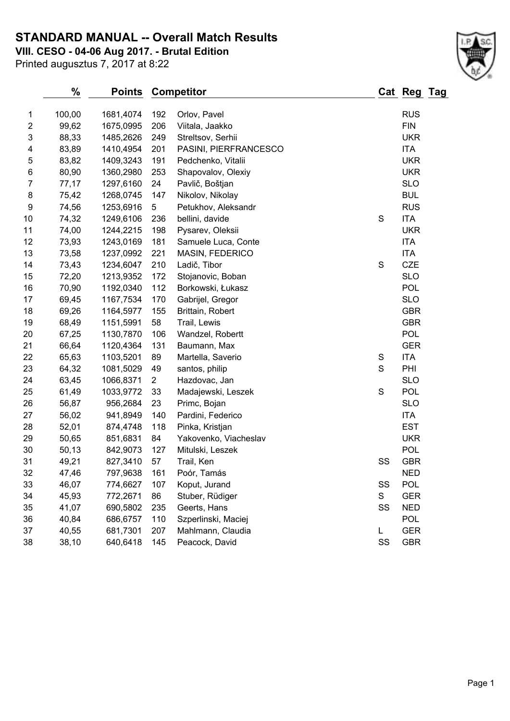### **STANDARD MANUAL -- Overall Match Results**

**VIII. CESO - 04-06 Aug 2017. - Brutal Edition**

Printed augusztus 7, 2017 at 8:22

# **% Points Competitor Cat Reg Tag** 1 100,00 1681,4074 192 Orlov, Pavel 1 100,00 RUS<br>2 99.62 1675,0995 206 Viitala Jaakko 99,62 1675,0995 206 Viitala, Jaakko FIN

| $\overline{z}$ | 99,62 | 1675,0995 | 206            | Viitala, Jaakko       |             | FIN        |
|----------------|-------|-----------|----------------|-----------------------|-------------|------------|
| 3              | 88,33 | 1485,2626 | 249            | Streltsov, Serhii     |             | <b>UKR</b> |
| 4              | 83,89 | 1410,4954 | 201            | PASINI, PIERFRANCESCO |             | <b>ITA</b> |
| 5              | 83,82 | 1409,3243 | 191            | Pedchenko, Vitalii    |             | <b>UKR</b> |
| 6              | 80,90 | 1360,2980 | 253            | Shapovalov, Olexiy    |             | <b>UKR</b> |
| $\overline{7}$ | 77,17 | 1297,6160 | 24             | Pavlič, Boštjan       |             | <b>SLO</b> |
| 8              | 75,42 | 1268,0745 | 147            | Nikolov, Nikolay      |             | <b>BUL</b> |
| 9              | 74,56 | 1253,6916 | 5              | Petukhov, Aleksandr   |             | <b>RUS</b> |
| 10             | 74,32 | 1249,6106 | 236            | bellini, davide       | S           | <b>ITA</b> |
| 11             | 74,00 | 1244,2215 | 198            | Pysarev, Oleksii      |             | <b>UKR</b> |
| 12             | 73,93 | 1243,0169 | 181            | Samuele Luca, Conte   |             | <b>ITA</b> |
| 13             | 73,58 | 1237,0992 | 221            | MASIN, FEDERICO       |             | <b>ITA</b> |
| 14             | 73,43 | 1234,6047 | 210            | Ladič, Tibor          | $\mathbf S$ | <b>CZE</b> |
| 15             | 72,20 | 1213,9352 | 172            | Stojanovic, Boban     |             | <b>SLO</b> |
| 16             | 70,90 | 1192,0340 | 112            | Borkowski, Łukasz     |             | <b>POL</b> |
| 17             | 69,45 | 1167,7534 | 170            | Gabrijel, Gregor      |             | <b>SLO</b> |
| 18             | 69,26 | 1164,5977 | 155            | Brittain, Robert      |             | <b>GBR</b> |
| 19             | 68,49 | 1151,5991 | 58             | Trail, Lewis          |             | <b>GBR</b> |
| 20             | 67,25 | 1130,7870 | 106            | Wandzel, Robertt      |             | <b>POL</b> |
| 21             | 66,64 | 1120,4364 | 131            | Baumann, Max          |             | <b>GER</b> |
| 22             | 65,63 | 1103,5201 | 89             | Martella, Saverio     | S           | <b>ITA</b> |
| 23             | 64,32 | 1081,5029 | 49             | santos, philip        | S           | PHI        |
| 24             | 63,45 | 1066,8371 | $\overline{2}$ | Hazdovac, Jan         |             | <b>SLO</b> |
| 25             | 61,49 | 1033,9772 | 33             | Madajewski, Leszek    | $\mathsf S$ | POL        |
| 26             | 56,87 | 956,2684  | 23             | Primc, Bojan          |             | <b>SLO</b> |
| 27             | 56,02 | 941,8949  | 140            | Pardini, Federico     |             | <b>ITA</b> |
| 28             | 52,01 | 874,4748  | 118            | Pinka, Kristjan       |             | <b>EST</b> |
| 29             | 50,65 | 851,6831  | 84             | Yakovenko, Viacheslav |             | <b>UKR</b> |
| 30             | 50,13 | 842,9073  | 127            | Mitulski, Leszek      |             | <b>POL</b> |
| 31             | 49,21 | 827,3410  | 57             | Trail, Ken            | SS          | <b>GBR</b> |
| 32             | 47,46 | 797,9638  | 161            | Poór, Tamás           |             | <b>NED</b> |
| 33             | 46,07 | 774,6627  | 107            | Koput, Jurand         | SS          | <b>POL</b> |
| 34             | 45,93 | 772,2671  | 86             | Stuber, Rüdiger       | S           | <b>GER</b> |
| 35             | 41,07 | 690,5802  | 235            | Geerts, Hans          | SS          | <b>NED</b> |
| 36             | 40,84 | 686,6757  | 110            | Szperlinski, Maciej   |             | <b>POL</b> |
| 37             | 40,55 | 681,7301  | 207            | Mahlmann, Claudia     | L           | <b>GER</b> |
| 38             | 38,10 | 640,6418  | 145            | Peacock, David        | SS          | <b>GBR</b> |
|                |       |           |                |                       |             |            |